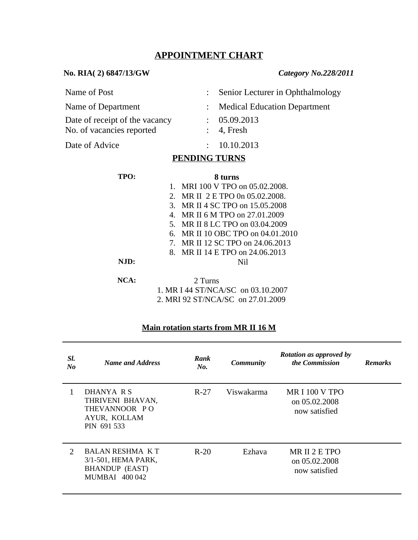## **APPOINTMENT CHART**

 **No. RIA( 2) 6847/13/GW** *Category No.228/2011*

| <b>PENDING THRNS</b>                                        |  |                                    |  |  |  |
|-------------------------------------------------------------|--|------------------------------------|--|--|--|
| Date of Advice                                              |  | : 10.10.2013                       |  |  |  |
| Date of receipt of the vacancy<br>No. of vacancies reported |  | : 05.09.2013<br>$: 4$ , Fresh      |  |  |  |
| Name of Department                                          |  | : Medical Education Department     |  |  |  |
| Name of Post                                                |  | : Senior Lecturer in Ophthalmology |  |  |  |

#### **PENDING TURNS**

| TPO:    | 8 turns                                     |  |  |  |
|---------|---------------------------------------------|--|--|--|
|         | MRI 100 V TPO on 05.02.2008.<br>1.          |  |  |  |
|         | MR II 2 E TPO 0n 05.02.2008.<br>2.          |  |  |  |
|         | MR II 4 SC TPO on 15.05.2008<br>3.          |  |  |  |
|         | MR II 6 M TPO on 27.01.2009<br>$\mathbf{4}$ |  |  |  |
|         | MR II 8 LC TPO on 03.04.2009<br>5.          |  |  |  |
|         | MR II 10 OBC TPO on 04.01.2010<br>6.        |  |  |  |
|         | MR II 12 SC TPO on 24,06,2013<br>7          |  |  |  |
|         | 8. MR II 14 E TPO on 24,06,2013             |  |  |  |
| NJD:    | Nil                                         |  |  |  |
|         |                                             |  |  |  |
| $NCA$ : | 2 Turns                                     |  |  |  |
|         | 1. MR I 44 ST/NCA/SC on 03.10.2007          |  |  |  |
|         | 2. MRI 92 ST/NCA/SC on 27.01.2009           |  |  |  |

# **Main rotation starts from MR II 16 M**

| SI.<br>No | <b>Name and Address</b>                                                                         | Rank<br>No. | <b>Community</b> | Rotation as approved by<br>the Commission              | <b>Remarks</b> |
|-----------|-------------------------------------------------------------------------------------------------|-------------|------------------|--------------------------------------------------------|----------------|
|           | DHANYA R S<br>THRIVENI BHAVAN,<br>THEVANNOOR PO<br>AYUR, KOLLAM<br>PIN 691 533                  | R-27        | Viswakarma       | <b>MRI 100 V TPO</b><br>on 05.02.2008<br>now satisfied |                |
| 2         | <b>BALAN RESHMA KT</b><br>3/1-501, HEMA PARK,<br><b>BHANDUP</b> (EAST)<br><b>MUMBAI 400 042</b> | $R-20$      | Ezhava           | MR II 2 E TPO<br>on 05.02.2008<br>now satisfied        |                |